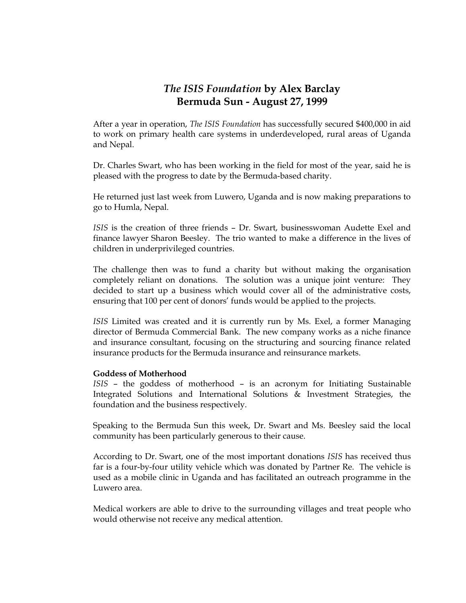# *The ISIS Foundation* **by Alex Barclay Bermuda Sun - August 27, 1999**

After a year in operation, *The ISIS Foundation* has successfully secured \$400,000 in aid to work on primary health care systems in underdeveloped, rural areas of Uganda and Nepal.

Dr. Charles Swart, who has been working in the field for most of the year, said he is pleased with the progress to date by the Bermuda-based charity.

He returned just last week from Luwero, Uganda and is now making preparations to go to Humla, Nepal.

*ISIS* is the creation of three friends – Dr. Swart, businesswoman Audette Exel and finance lawyer Sharon Beesley. The trio wanted to make a difference in the lives of children in underprivileged countries.

The challenge then was to fund a charity but without making the organisation completely reliant on donations. The solution was a unique joint venture: They decided to start up a business which would cover all of the administrative costs, ensuring that 100 per cent of donors' funds would be applied to the projects.

*ISIS* Limited was created and it is currently run by Ms. Exel, a former Managing director of Bermuda Commercial Bank. The new company works as a niche finance and insurance consultant, focusing on the structuring and sourcing finance related insurance products for the Bermuda insurance and reinsurance markets.

## **Goddess of Motherhood**

*ISIS* – the goddess of motherhood – is an acronym for Initiating Sustainable Integrated Solutions and International Solutions & Investment Strategies, the foundation and the business respectively.

Speaking to the Bermuda Sun this week, Dr. Swart and Ms. Beesley said the local community has been particularly generous to their cause.

According to Dr. Swart, one of the most important donations *ISIS* has received thus far is a four-by-four utility vehicle which was donated by Partner Re. The vehicle is used as a mobile clinic in Uganda and has facilitated an outreach programme in the Luwero area.

Medical workers are able to drive to the surrounding villages and treat people who would otherwise not receive any medical attention.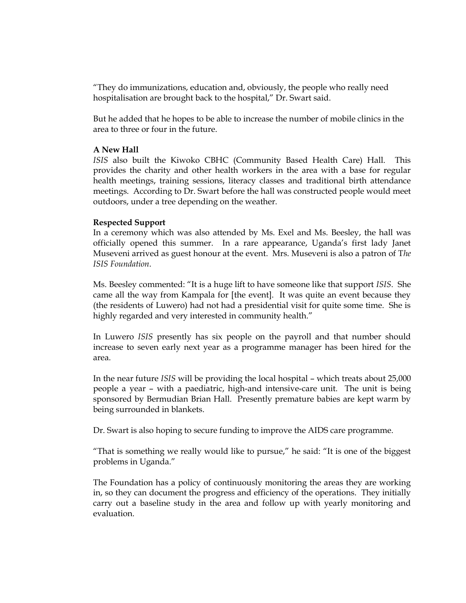"They do immunizations, education and, obviously, the people who really need hospitalisation are brought back to the hospital," Dr. Swart said.

But he added that he hopes to be able to increase the number of mobile clinics in the area to three or four in the future.

#### **A New Hall**

*ISIS* also built the Kiwoko CBHC (Community Based Health Care) Hall. This provides the charity and other health workers in the area with a base for regular health meetings, training sessions, literacy classes and traditional birth attendance meetings. According to Dr. Swart before the hall was constructed people would meet outdoors, under a tree depending on the weather.

#### **Respected Support**

In a ceremony which was also attended by Ms. Exel and Ms. Beesley, the hall was officially opened this summer. In a rare appearance, Uganda's first lady Janet Museveni arrived as guest honour at the event. Mrs. Museveni is also a patron of T*he ISIS Foundation*.

Ms. Beesley commented: "It is a huge lift to have someone like that support *ISIS*. She came all the way from Kampala for [the event]. It was quite an event because they (the residents of Luwero) had not had a presidential visit for quite some time. She is highly regarded and very interested in community health."

In Luwero *ISIS* presently has six people on the payroll and that number should increase to seven early next year as a programme manager has been hired for the area.

In the near future *ISIS* will be providing the local hospital – which treats about 25,000 people a year – with a paediatric, high-and intensive-care unit. The unit is being sponsored by Bermudian Brian Hall. Presently premature babies are kept warm by being surrounded in blankets.

Dr. Swart is also hoping to secure funding to improve the AIDS care programme.

"That is something we really would like to pursue," he said: "It is one of the biggest problems in Uganda."

The Foundation has a policy of continuously monitoring the areas they are working in, so they can document the progress and efficiency of the operations. They initially carry out a baseline study in the area and follow up with yearly monitoring and evaluation.